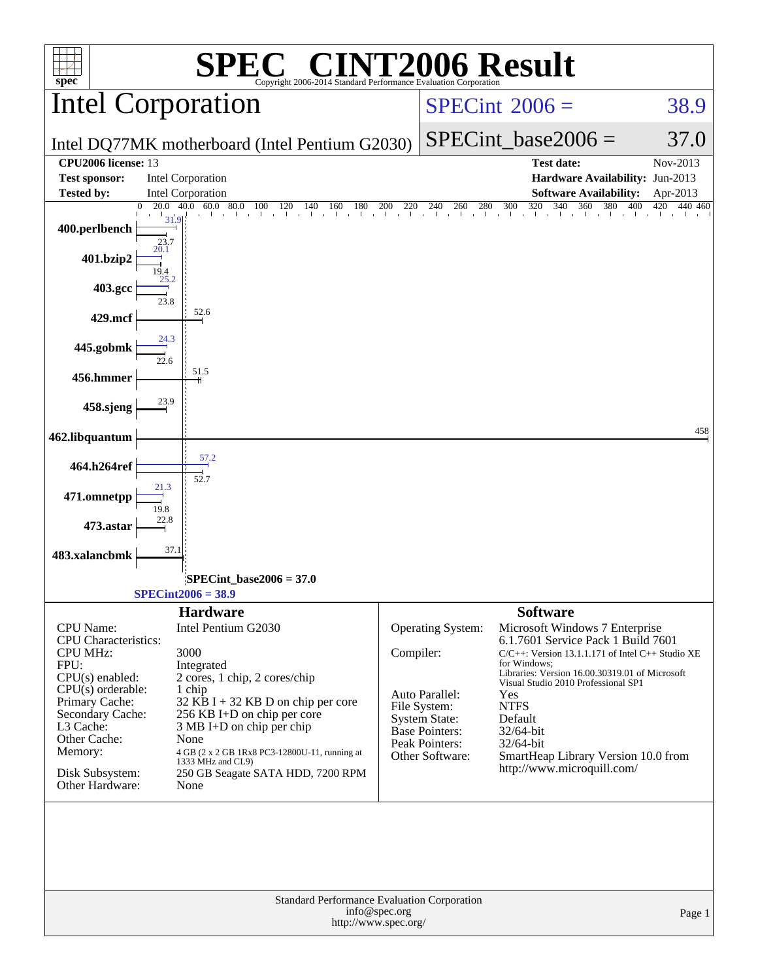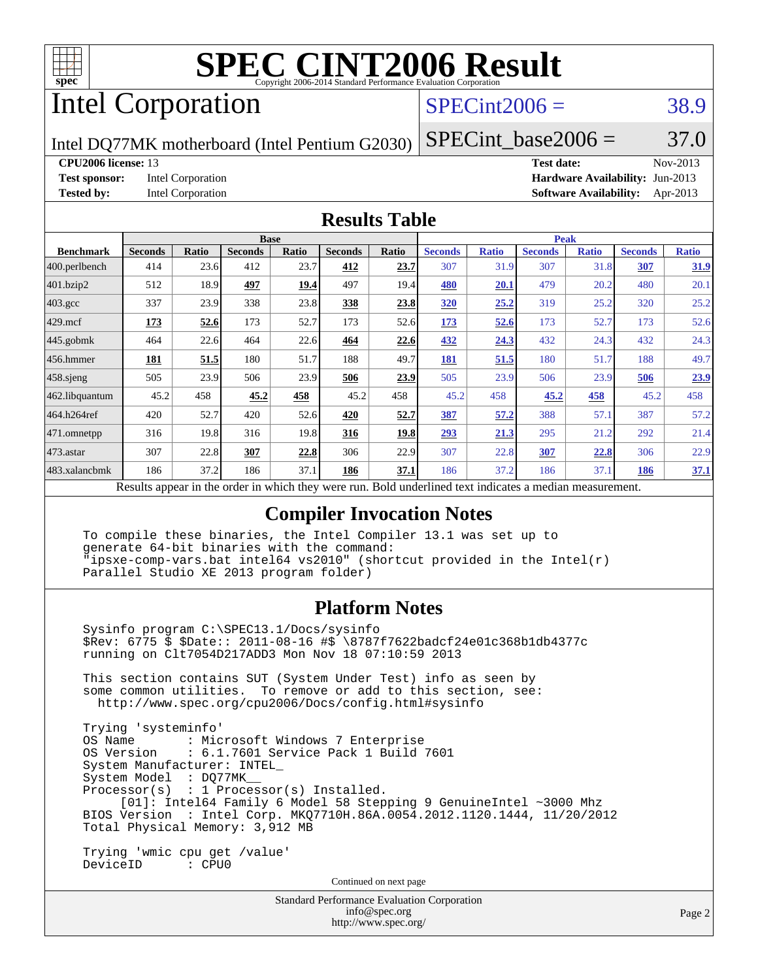

# Intel Corporation

## $SPECint2006 = 38.9$  $SPECint2006 = 38.9$

Intel DQ77MK motherboard (Intel Pentium G2030)

**[Test sponsor:](http://www.spec.org/auto/cpu2006/Docs/result-fields.html#Testsponsor)** Intel Corporation **[Hardware Availability:](http://www.spec.org/auto/cpu2006/Docs/result-fields.html#HardwareAvailability)** Jun-2013

SPECint base2006 =  $37.0$ **[CPU2006 license:](http://www.spec.org/auto/cpu2006/Docs/result-fields.html#CPU2006license)** 13 **[Test date:](http://www.spec.org/auto/cpu2006/Docs/result-fields.html#Testdate)** Nov-2013

**[Tested by:](http://www.spec.org/auto/cpu2006/Docs/result-fields.html#Testedby)** Intel Corporation **[Software Availability:](http://www.spec.org/auto/cpu2006/Docs/result-fields.html#SoftwareAvailability)** Apr-2013

#### **[Results Table](http://www.spec.org/auto/cpu2006/Docs/result-fields.html#ResultsTable)**

|                    | <b>Base</b>    |              |                |              |                |       | <b>Peak</b>                                                                                              |              |                |              |                |              |
|--------------------|----------------|--------------|----------------|--------------|----------------|-------|----------------------------------------------------------------------------------------------------------|--------------|----------------|--------------|----------------|--------------|
| <b>Benchmark</b>   | <b>Seconds</b> | <b>Ratio</b> | <b>Seconds</b> | <b>Ratio</b> | <b>Seconds</b> | Ratio | <b>Seconds</b>                                                                                           | <b>Ratio</b> | <b>Seconds</b> | <b>Ratio</b> | <b>Seconds</b> | <b>Ratio</b> |
| 400.perlbench      | 414            | 23.6         | 412            | 23.7         | 412            | 23.7  | 307                                                                                                      | 31.9         | 307            | 31.8         | 307            | <u>31.9</u>  |
| 401.bzip2          | 512            | 18.9         | 497            | 19.4         | 497            | 19.4  | 480                                                                                                      | 20.1         | 479            | 20.2         | 480            | 20.1         |
| $403.\mathrm{gcc}$ | 337            | 23.9         | 338            | 23.8         | 338            | 23.8  | 320                                                                                                      | 25.2         | 319            | 25.2         | 320            | 25.2         |
| $429$ mcf          | 173            | 52.6         | 173            | 52.7         | 173            | 52.6  | 173                                                                                                      | 52.6         | 173            | 52.7         | 173            | 52.6         |
| $445$ .gobmk       | 464            | 22.6         | 464            | 22.6         | 464            | 22.6  | 432                                                                                                      | 24.3         | 432            | 24.3         | 432            | 24.3         |
| $456.$ hmmer       | 181            | 51.5         | 180            | 51.7         | 188            | 49.7  | 181                                                                                                      | 51.5         | 180            | 51.7         | 188            | 49.7         |
| $458$ .sjeng       | 505            | 23.9         | 506            | 23.9         | 506            | 23.9  | 505                                                                                                      | 23.9         | 506            | 23.9         | 506            | 23.9         |
| 462.libquantum     | 45.2           | 458          | 45.2           | 458          | 45.2           | 458   | 45.2                                                                                                     | 458          | 45.2           | <u>458</u>   | 45.2           | 458          |
| 464.h264ref        | 420            | 52.7         | 420            | 52.6         | 420            | 52.7  | 387                                                                                                      | 57.2         | 388            | 57.1         | 387            | 57.2         |
| 471.omnetpp        | 316            | 19.8         | 316            | 19.8         | 316            | 19.8  | 293                                                                                                      | 21.3         | 295            | 21.2         | 292            | 21.4         |
| $473.$ astar       | 307            | 22.8         | 307            | 22.8         | 306            | 22.9  | 307                                                                                                      | 22.8         | 307            | 22.8         | 306            | 22.9         |
| 483.xalancbmk      | 186            | 37.2         | 186            | 37.1         | 186            | 37.1  | 186                                                                                                      | 37.2         | 186            | 37.1         | 186            | 37.1         |
|                    |                |              |                |              |                |       | Results appear in the order in which they were run. Bold underlined text indicates a median measurement. |              |                |              |                |              |

#### **[Compiler Invocation Notes](http://www.spec.org/auto/cpu2006/Docs/result-fields.html#CompilerInvocationNotes)**

 To compile these binaries, the Intel Compiler 13.1 was set up to generate 64-bit binaries with the command: "ipsxe-comp-vars.bat intel64 vs2010" (shortcut provided in the Intel(r) Parallel Studio XE 2013 program folder)

#### **[Platform Notes](http://www.spec.org/auto/cpu2006/Docs/result-fields.html#PlatformNotes)**

 Sysinfo program C:\SPEC13.1/Docs/sysinfo \$Rev: 6775 \$ \$Date:: 2011-08-16 #\$ \8787f7622badcf24e01c368b1db4377c running on Clt7054D217ADD3 Mon Nov 18 07:10:59 2013 This section contains SUT (System Under Test) info as seen by

 some common utilities. To remove or add to this section, see: <http://www.spec.org/cpu2006/Docs/config.html#sysinfo>

 Trying 'systeminfo' : Microsoft Windows 7 Enterprise OS Version : 6.1.7601 Service Pack 1 Build 7601 System Manufacturer: INTEL\_ System Model : DQ77MK\_\_ Processor(s) : 1 Processor(s) Installed. [01]: Intel64 Family 6 Model 58 Stepping 9 GenuineIntel ~3000 Mhz BIOS Version : Intel Corp. MKQ7710H.86A.0054.2012.1120.1444, 11/20/2012 Total Physical Memory: 3,912 MB Trying 'wmic cpu get /value'

DeviceID : CPU0

Continued on next page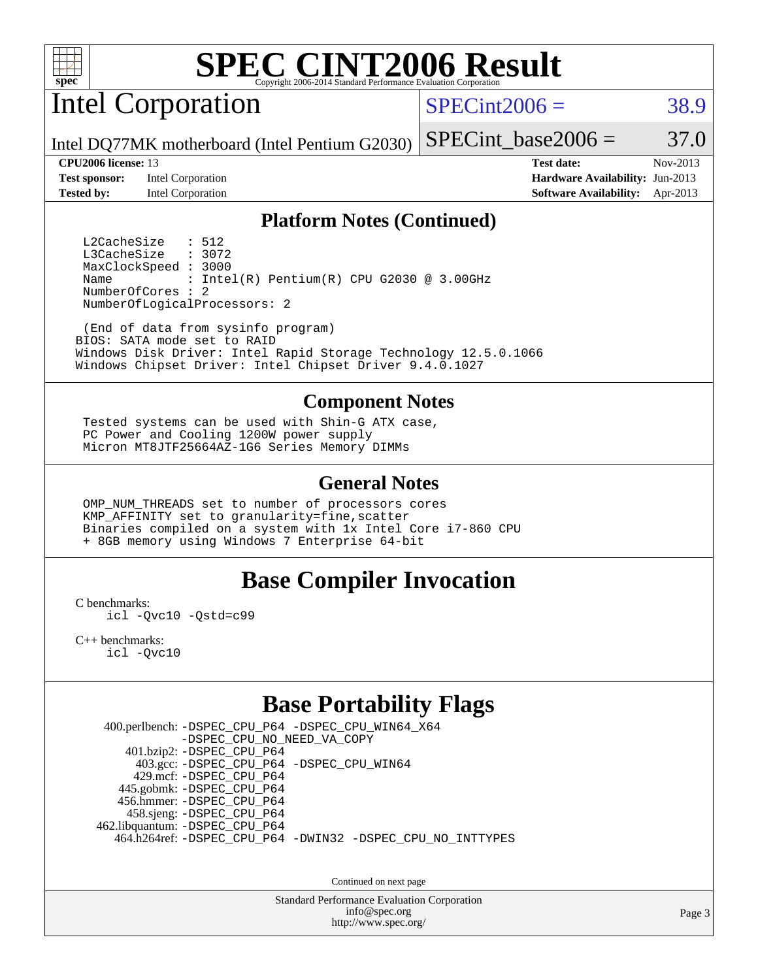

Intel Corporation

 $SPECint2006 = 38.9$  $SPECint2006 = 38.9$ 

SPECint base2006 =  $37.0$ 

Intel DQ77MK motherboard (Intel Pentium G2030)

**[Test sponsor:](http://www.spec.org/auto/cpu2006/Docs/result-fields.html#Testsponsor)** Intel Corporation **[Hardware Availability:](http://www.spec.org/auto/cpu2006/Docs/result-fields.html#HardwareAvailability)** Jun-2013 **[Tested by:](http://www.spec.org/auto/cpu2006/Docs/result-fields.html#Testedby)** Intel Corporation **[Software Availability:](http://www.spec.org/auto/cpu2006/Docs/result-fields.html#SoftwareAvailability)** Apr-2013

**[CPU2006 license:](http://www.spec.org/auto/cpu2006/Docs/result-fields.html#CPU2006license)** 13 **[Test date:](http://www.spec.org/auto/cpu2006/Docs/result-fields.html#Testdate)** Nov-2013

#### **[Platform Notes \(Continued\)](http://www.spec.org/auto/cpu2006/Docs/result-fields.html#PlatformNotes)**

L2CacheSize : 512<br>L3CacheSize : 3072 L3CacheSize MaxClockSpeed : 3000 Name : Intel(R) Pentium(R) CPU G2030 @ 3.00GHz NumberOfCores : 2 NumberOfLogicalProcessors: 2

 (End of data from sysinfo program) BIOS: SATA mode set to RAID Windows Disk Driver: Intel Rapid Storage Technology 12.5.0.1066 Windows Chipset Driver: Intel Chipset Driver 9.4.0.1027

#### **[Component Notes](http://www.spec.org/auto/cpu2006/Docs/result-fields.html#ComponentNotes)**

 Tested systems can be used with Shin-G ATX case, PC Power and Cooling 1200W power supply Micron MT8JTF25664AZ-1G6 Series Memory DIMMs

#### **[General Notes](http://www.spec.org/auto/cpu2006/Docs/result-fields.html#GeneralNotes)**

 OMP\_NUM\_THREADS set to number of processors cores KMP\_AFFINITY set to granularity=fine,scatter Binaries compiled on a system with 1x Intel Core i7-860 CPU + 8GB memory using Windows 7 Enterprise 64-bit

#### **[Base Compiler Invocation](http://www.spec.org/auto/cpu2006/Docs/result-fields.html#BaseCompilerInvocation)**

[C benchmarks](http://www.spec.org/auto/cpu2006/Docs/result-fields.html#Cbenchmarks):

[icl -Qvc10](http://www.spec.org/cpu2006/results/res2014q3/cpu2006-20140701-30215.flags.html#user_CCbase_intel_icc_vc10_9607f3ecbcdf68042245f068e51b40c1) [-Qstd=c99](http://www.spec.org/cpu2006/results/res2014q3/cpu2006-20140701-30215.flags.html#user_CCbase_intel_compiler_c99_mode_1a3d110e3041b3ad4466830521bdad2a)

[C++ benchmarks:](http://www.spec.org/auto/cpu2006/Docs/result-fields.html#CXXbenchmarks) [icl -Qvc10](http://www.spec.org/cpu2006/results/res2014q3/cpu2006-20140701-30215.flags.html#user_CXXbase_intel_icc_vc10_9607f3ecbcdf68042245f068e51b40c1)

### **[Base Portability Flags](http://www.spec.org/auto/cpu2006/Docs/result-fields.html#BasePortabilityFlags)**

 400.perlbench: [-DSPEC\\_CPU\\_P64](http://www.spec.org/cpu2006/results/res2014q3/cpu2006-20140701-30215.flags.html#b400.perlbench_basePORTABILITY_DSPEC_CPU_P64) [-DSPEC\\_CPU\\_WIN64\\_X64](http://www.spec.org/cpu2006/results/res2014q3/cpu2006-20140701-30215.flags.html#b400.perlbench_baseCPORTABILITY_DSPEC_CPU_WIN64_X64) [-DSPEC\\_CPU\\_NO\\_NEED\\_VA\\_COPY](http://www.spec.org/cpu2006/results/res2014q3/cpu2006-20140701-30215.flags.html#b400.perlbench_baseCPORTABILITY_DSPEC_CPU_NO_NEED_VA_COPY) 401.bzip2: [-DSPEC\\_CPU\\_P64](http://www.spec.org/cpu2006/results/res2014q3/cpu2006-20140701-30215.flags.html#suite_basePORTABILITY401_bzip2_DSPEC_CPU_P64) 403.gcc: [-DSPEC\\_CPU\\_P64](http://www.spec.org/cpu2006/results/res2014q3/cpu2006-20140701-30215.flags.html#suite_basePORTABILITY403_gcc_DSPEC_CPU_P64) [-DSPEC\\_CPU\\_WIN64](http://www.spec.org/cpu2006/results/res2014q3/cpu2006-20140701-30215.flags.html#b403.gcc_baseCPORTABILITY_DSPEC_CPU_WIN64) 429.mcf: [-DSPEC\\_CPU\\_P64](http://www.spec.org/cpu2006/results/res2014q3/cpu2006-20140701-30215.flags.html#suite_basePORTABILITY429_mcf_DSPEC_CPU_P64) 445.gobmk: [-DSPEC\\_CPU\\_P64](http://www.spec.org/cpu2006/results/res2014q3/cpu2006-20140701-30215.flags.html#suite_basePORTABILITY445_gobmk_DSPEC_CPU_P64) 456.hmmer: [-DSPEC\\_CPU\\_P64](http://www.spec.org/cpu2006/results/res2014q3/cpu2006-20140701-30215.flags.html#suite_basePORTABILITY456_hmmer_DSPEC_CPU_P64) 458.sjeng: [-DSPEC\\_CPU\\_P64](http://www.spec.org/cpu2006/results/res2014q3/cpu2006-20140701-30215.flags.html#suite_basePORTABILITY458_sjeng_DSPEC_CPU_P64) 462.libquantum: [-DSPEC\\_CPU\\_P64](http://www.spec.org/cpu2006/results/res2014q3/cpu2006-20140701-30215.flags.html#suite_basePORTABILITY462_libquantum_DSPEC_CPU_P64) 464.h264ref: [-DSPEC\\_CPU\\_P64](http://www.spec.org/cpu2006/results/res2014q3/cpu2006-20140701-30215.flags.html#suite_basePORTABILITY464_h264ref_DSPEC_CPU_P64) [-DWIN32](http://www.spec.org/cpu2006/results/res2014q3/cpu2006-20140701-30215.flags.html#b464.h264ref_baseCPORTABILITY_DWIN32) [-DSPEC\\_CPU\\_NO\\_INTTYPES](http://www.spec.org/cpu2006/results/res2014q3/cpu2006-20140701-30215.flags.html#b464.h264ref_baseCPORTABILITY_DSPEC_CPU_NO_INTTYPES)

Continued on next page

Standard Performance Evaluation Corporation [info@spec.org](mailto:info@spec.org) <http://www.spec.org/>

Page 3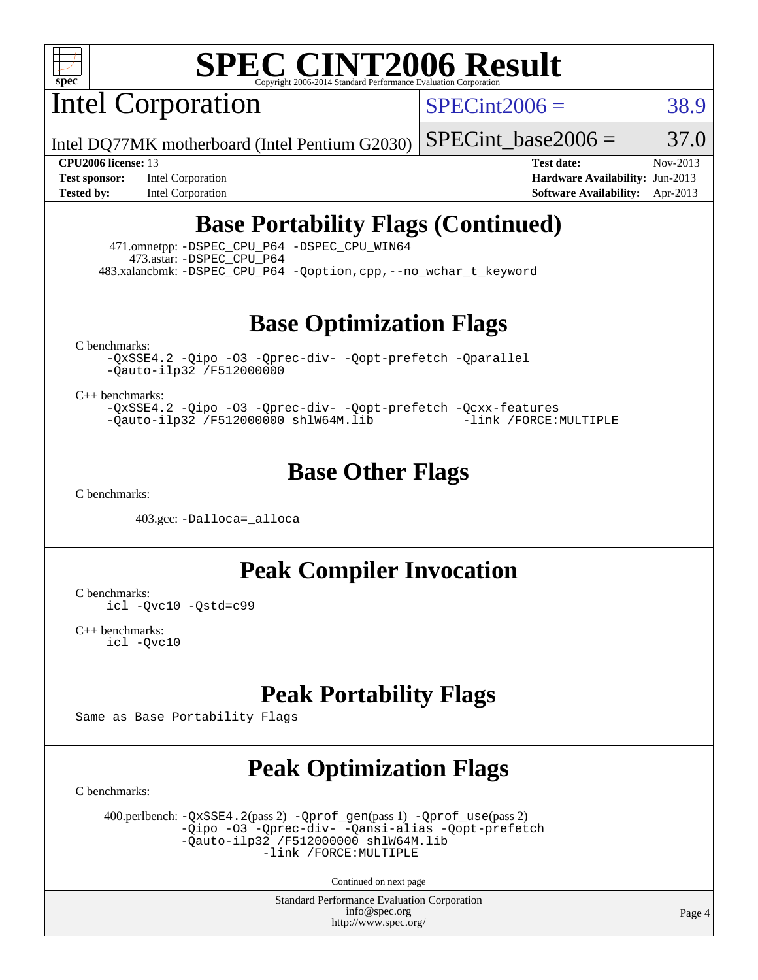

Intel Corporation

 $SPECint2006 = 38.9$  $SPECint2006 = 38.9$ 

Intel DQ77MK motherboard (Intel Pentium G2030)

SPECint base2006 =  $37.0$ 

**[Test sponsor:](http://www.spec.org/auto/cpu2006/Docs/result-fields.html#Testsponsor)** Intel Corporation **[Hardware Availability:](http://www.spec.org/auto/cpu2006/Docs/result-fields.html#HardwareAvailability)** Jun-2013

**[CPU2006 license:](http://www.spec.org/auto/cpu2006/Docs/result-fields.html#CPU2006license)** 13 **[Test date:](http://www.spec.org/auto/cpu2006/Docs/result-fields.html#Testdate)** Nov-2013 **[Tested by:](http://www.spec.org/auto/cpu2006/Docs/result-fields.html#Testedby)** Intel Corporation **[Software Availability:](http://www.spec.org/auto/cpu2006/Docs/result-fields.html#SoftwareAvailability)** Apr-2013

## **[Base Portability Flags \(Continued\)](http://www.spec.org/auto/cpu2006/Docs/result-fields.html#BasePortabilityFlags)**

 471.omnetpp: [-DSPEC\\_CPU\\_P64](http://www.spec.org/cpu2006/results/res2014q3/cpu2006-20140701-30215.flags.html#suite_basePORTABILITY471_omnetpp_DSPEC_CPU_P64) [-DSPEC\\_CPU\\_WIN64](http://www.spec.org/cpu2006/results/res2014q3/cpu2006-20140701-30215.flags.html#b471.omnetpp_baseCXXPORTABILITY_DSPEC_CPU_WIN64) 473.astar: [-DSPEC\\_CPU\\_P64](http://www.spec.org/cpu2006/results/res2014q3/cpu2006-20140701-30215.flags.html#suite_basePORTABILITY473_astar_DSPEC_CPU_P64) 483.xalancbmk: [-DSPEC\\_CPU\\_P64](http://www.spec.org/cpu2006/results/res2014q3/cpu2006-20140701-30215.flags.html#suite_basePORTABILITY483_xalancbmk_DSPEC_CPU_P64) [-Qoption,cpp,--no\\_wchar\\_t\\_keyword](http://www.spec.org/cpu2006/results/res2014q3/cpu2006-20140701-30215.flags.html#user_baseCXXPORTABILITY483_xalancbmk_f-no_wchar_t_keyword_ec0ad4495a16b4e858bfcb29d949d25d)

**[Base Optimization Flags](http://www.spec.org/auto/cpu2006/Docs/result-fields.html#BaseOptimizationFlags)**

[C benchmarks](http://www.spec.org/auto/cpu2006/Docs/result-fields.html#Cbenchmarks):

[-QxSSE4.2](http://www.spec.org/cpu2006/results/res2014q3/cpu2006-20140701-30215.flags.html#user_CCbase_f-QxSSE42_372695bbe211719895df0310b324a1ca) [-Qipo](http://www.spec.org/cpu2006/results/res2014q3/cpu2006-20140701-30215.flags.html#user_CCbase_f-Qipo) [-O3](http://www.spec.org/cpu2006/results/res2014q3/cpu2006-20140701-30215.flags.html#user_CCbase_f-O3) [-Qprec-div-](http://www.spec.org/cpu2006/results/res2014q3/cpu2006-20140701-30215.flags.html#user_CCbase_f-Qprec-div-) [-Qopt-prefetch](http://www.spec.org/cpu2006/results/res2014q3/cpu2006-20140701-30215.flags.html#user_CCbase_f-Qprefetch_37c211608666b9dff9380561f602f0a8) [-Qparallel](http://www.spec.org/cpu2006/results/res2014q3/cpu2006-20140701-30215.flags.html#user_CCbase_f-Qparallel) [-Qauto-ilp32](http://www.spec.org/cpu2006/results/res2014q3/cpu2006-20140701-30215.flags.html#user_CCbase_f-Qauto-ilp32) [/F512000000](http://www.spec.org/cpu2006/results/res2014q3/cpu2006-20140701-30215.flags.html#user_CCbase_set_stack_space_98438a10eb60aa5f35f4c79d9b9b27b1)

[C++ benchmarks:](http://www.spec.org/auto/cpu2006/Docs/result-fields.html#CXXbenchmarks)

[-QxSSE4.2](http://www.spec.org/cpu2006/results/res2014q3/cpu2006-20140701-30215.flags.html#user_CXXbase_f-QxSSE42_372695bbe211719895df0310b324a1ca) [-Qipo](http://www.spec.org/cpu2006/results/res2014q3/cpu2006-20140701-30215.flags.html#user_CXXbase_f-Qipo) [-O3](http://www.spec.org/cpu2006/results/res2014q3/cpu2006-20140701-30215.flags.html#user_CXXbase_f-O3) [-Qprec-div-](http://www.spec.org/cpu2006/results/res2014q3/cpu2006-20140701-30215.flags.html#user_CXXbase_f-Qprec-div-) [-Qopt-prefetch](http://www.spec.org/cpu2006/results/res2014q3/cpu2006-20140701-30215.flags.html#user_CXXbase_f-Qprefetch_37c211608666b9dff9380561f602f0a8) [-Qcxx-features](http://www.spec.org/cpu2006/results/res2014q3/cpu2006-20140701-30215.flags.html#user_CXXbase_f-Qcxx_features_dbf36c8a6dba956e22f1645e4dcd4d98) [-Qauto-ilp32](http://www.spec.org/cpu2006/results/res2014q3/cpu2006-20140701-30215.flags.html#user_CXXbase_f-Qauto-ilp32) [/F512000000](http://www.spec.org/cpu2006/results/res2014q3/cpu2006-20140701-30215.flags.html#user_CXXbase_set_stack_space_98438a10eb60aa5f35f4c79d9b9b27b1) [shlW64M.lib](http://www.spec.org/cpu2006/results/res2014q3/cpu2006-20140701-30215.flags.html#user_CXXbase_SmartHeap64_c4f7f76711bdf8c0633a5c1edf6e5396) [-link /FORCE:MULTIPLE](http://www.spec.org/cpu2006/results/res2014q3/cpu2006-20140701-30215.flags.html#user_CXXbase_link_force_multiple2_070fe330869edf77077b841074b8b0b6)

### **[Base Other Flags](http://www.spec.org/auto/cpu2006/Docs/result-fields.html#BaseOtherFlags)**

[C benchmarks](http://www.spec.org/auto/cpu2006/Docs/result-fields.html#Cbenchmarks):

403.gcc: [-Dalloca=\\_alloca](http://www.spec.org/cpu2006/results/res2014q3/cpu2006-20140701-30215.flags.html#b403.gcc_baseEXTRA_CFLAGS_Dalloca_be3056838c12de2578596ca5467af7f3)

**[Peak Compiler Invocation](http://www.spec.org/auto/cpu2006/Docs/result-fields.html#PeakCompilerInvocation)**

[C benchmarks](http://www.spec.org/auto/cpu2006/Docs/result-fields.html#Cbenchmarks): [icl -Qvc10](http://www.spec.org/cpu2006/results/res2014q3/cpu2006-20140701-30215.flags.html#user_CCpeak_intel_icc_vc10_9607f3ecbcdf68042245f068e51b40c1) [-Qstd=c99](http://www.spec.org/cpu2006/results/res2014q3/cpu2006-20140701-30215.flags.html#user_CCpeak_intel_compiler_c99_mode_1a3d110e3041b3ad4466830521bdad2a)

[C++ benchmarks:](http://www.spec.org/auto/cpu2006/Docs/result-fields.html#CXXbenchmarks) [icl -Qvc10](http://www.spec.org/cpu2006/results/res2014q3/cpu2006-20140701-30215.flags.html#user_CXXpeak_intel_icc_vc10_9607f3ecbcdf68042245f068e51b40c1)

## **[Peak Portability Flags](http://www.spec.org/auto/cpu2006/Docs/result-fields.html#PeakPortabilityFlags)**

Same as Base Portability Flags

# **[Peak Optimization Flags](http://www.spec.org/auto/cpu2006/Docs/result-fields.html#PeakOptimizationFlags)**

[C benchmarks](http://www.spec.org/auto/cpu2006/Docs/result-fields.html#Cbenchmarks):

 400.perlbench: [-QxSSE4.2](http://www.spec.org/cpu2006/results/res2014q3/cpu2006-20140701-30215.flags.html#user_peakPASS2_CFLAGSPASS2_LDFLAGS400_perlbench_f-QxSSE42_372695bbe211719895df0310b324a1ca)(pass 2) [-Qprof\\_gen](http://www.spec.org/cpu2006/results/res2014q3/cpu2006-20140701-30215.flags.html#user_peakPASS1_CFLAGSPASS1_LDFLAGS400_perlbench_Qprof_gen)(pass 1) [-Qprof\\_use](http://www.spec.org/cpu2006/results/res2014q3/cpu2006-20140701-30215.flags.html#user_peakPASS2_CFLAGSPASS2_LDFLAGS400_perlbench_Qprof_use)(pass 2) [-Qipo](http://www.spec.org/cpu2006/results/res2014q3/cpu2006-20140701-30215.flags.html#user_peakOPTIMIZE400_perlbench_f-Qipo) [-O3](http://www.spec.org/cpu2006/results/res2014q3/cpu2006-20140701-30215.flags.html#user_peakOPTIMIZE400_perlbench_f-O3) [-Qprec-div-](http://www.spec.org/cpu2006/results/res2014q3/cpu2006-20140701-30215.flags.html#user_peakOPTIMIZE400_perlbench_f-Qprec-div-) [-Qansi-alias](http://www.spec.org/cpu2006/results/res2014q3/cpu2006-20140701-30215.flags.html#user_peakOPTIMIZE400_perlbench_f-Qansi-alias) [-Qopt-prefetch](http://www.spec.org/cpu2006/results/res2014q3/cpu2006-20140701-30215.flags.html#user_peakOPTIMIZE400_perlbench_f-Qprefetch_37c211608666b9dff9380561f602f0a8)  $-\tilde{Q}$ auto-ilp32 [/F512000000](http://www.spec.org/cpu2006/results/res2014q3/cpu2006-20140701-30215.flags.html#user_peakEXTRA_LDFLAGS400_perlbench_set_stack_space_98438a10eb60aa5f35f4c79d9b9b27b1) [shlW64M.lib](http://www.spec.org/cpu2006/results/res2014q3/cpu2006-20140701-30215.flags.html#user_peakEXTRA_LIBS400_perlbench_SmartHeap64_c4f7f76711bdf8c0633a5c1edf6e5396)  [-link /FORCE:MULTIPLE](http://www.spec.org/cpu2006/results/res2014q3/cpu2006-20140701-30215.flags.html#user_peakLDOUT400_perlbench_link_force_multiple2_070fe330869edf77077b841074b8b0b6)

Continued on next page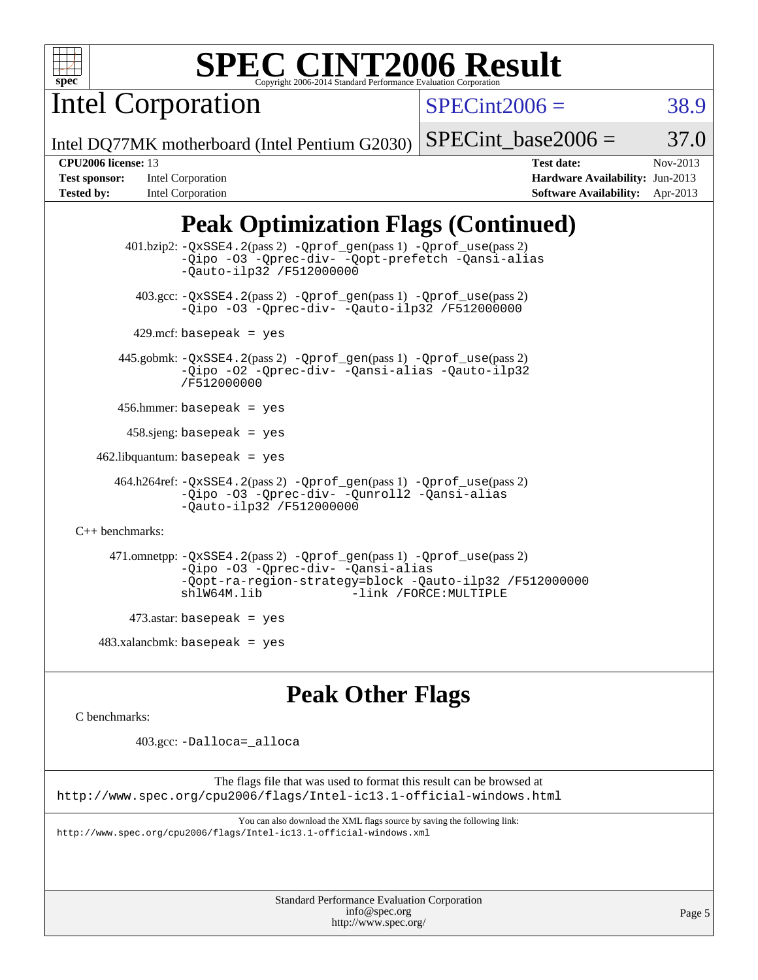

Intel Corporation

 $SPECint2006 = 38.9$  $SPECint2006 = 38.9$ 

Intel DQ77MK motherboard (Intel Pentium G2030)

SPECint base2006 =  $37.0$ 

**[Test sponsor:](http://www.spec.org/auto/cpu2006/Docs/result-fields.html#Testsponsor)** Intel Corporation **[Hardware Availability:](http://www.spec.org/auto/cpu2006/Docs/result-fields.html#HardwareAvailability)** Jun-2013 **[Tested by:](http://www.spec.org/auto/cpu2006/Docs/result-fields.html#Testedby)** Intel Corporation **[Software Availability:](http://www.spec.org/auto/cpu2006/Docs/result-fields.html#SoftwareAvailability)** Apr-2013

**[CPU2006 license:](http://www.spec.org/auto/cpu2006/Docs/result-fields.html#CPU2006license)** 13 **[Test date:](http://www.spec.org/auto/cpu2006/Docs/result-fields.html#Testdate)** Nov-2013

# **[Peak Optimization Flags \(Continued\)](http://www.spec.org/auto/cpu2006/Docs/result-fields.html#PeakOptimizationFlags)**

 401.bzip2: [-QxSSE4.2](http://www.spec.org/cpu2006/results/res2014q3/cpu2006-20140701-30215.flags.html#user_peakPASS2_CFLAGSPASS2_LDFLAGS401_bzip2_f-QxSSE42_372695bbe211719895df0310b324a1ca)(pass 2) [-Qprof\\_gen](http://www.spec.org/cpu2006/results/res2014q3/cpu2006-20140701-30215.flags.html#user_peakPASS1_CFLAGSPASS1_LDFLAGS401_bzip2_Qprof_gen)(pass 1) [-Qprof\\_use](http://www.spec.org/cpu2006/results/res2014q3/cpu2006-20140701-30215.flags.html#user_peakPASS2_CFLAGSPASS2_LDFLAGS401_bzip2_Qprof_use)(pass 2) [-Qipo](http://www.spec.org/cpu2006/results/res2014q3/cpu2006-20140701-30215.flags.html#user_peakOPTIMIZE401_bzip2_f-Qipo) [-O3](http://www.spec.org/cpu2006/results/res2014q3/cpu2006-20140701-30215.flags.html#user_peakOPTIMIZE401_bzip2_f-O3) [-Qprec-div-](http://www.spec.org/cpu2006/results/res2014q3/cpu2006-20140701-30215.flags.html#user_peakOPTIMIZE401_bzip2_f-Qprec-div-) [-Qopt-prefetch](http://www.spec.org/cpu2006/results/res2014q3/cpu2006-20140701-30215.flags.html#user_peakOPTIMIZE401_bzip2_f-Qprefetch_37c211608666b9dff9380561f602f0a8) [-Qansi-alias](http://www.spec.org/cpu2006/results/res2014q3/cpu2006-20140701-30215.flags.html#user_peakOPTIMIZE401_bzip2_f-Qansi-alias) [-Qauto-ilp32](http://www.spec.org/cpu2006/results/res2014q3/cpu2006-20140701-30215.flags.html#user_peakCOPTIMIZE401_bzip2_f-Qauto-ilp32) [/F512000000](http://www.spec.org/cpu2006/results/res2014q3/cpu2006-20140701-30215.flags.html#user_peakEXTRA_LDFLAGS401_bzip2_set_stack_space_98438a10eb60aa5f35f4c79d9b9b27b1) 403.gcc: [-QxSSE4.2](http://www.spec.org/cpu2006/results/res2014q3/cpu2006-20140701-30215.flags.html#user_peakPASS2_CFLAGSPASS2_LDFLAGS403_gcc_f-QxSSE42_372695bbe211719895df0310b324a1ca)(pass 2) [-Qprof\\_gen](http://www.spec.org/cpu2006/results/res2014q3/cpu2006-20140701-30215.flags.html#user_peakPASS1_CFLAGSPASS1_LDFLAGS403_gcc_Qprof_gen)(pass 1) [-Qprof\\_use](http://www.spec.org/cpu2006/results/res2014q3/cpu2006-20140701-30215.flags.html#user_peakPASS2_CFLAGSPASS2_LDFLAGS403_gcc_Qprof_use)(pass 2) [-Qipo](http://www.spec.org/cpu2006/results/res2014q3/cpu2006-20140701-30215.flags.html#user_peakOPTIMIZE403_gcc_f-Qipo) [-O3](http://www.spec.org/cpu2006/results/res2014q3/cpu2006-20140701-30215.flags.html#user_peakOPTIMIZE403_gcc_f-O3) [-Qprec-div-](http://www.spec.org/cpu2006/results/res2014q3/cpu2006-20140701-30215.flags.html#user_peakOPTIMIZE403_gcc_f-Qprec-div-) [-Qauto-ilp32](http://www.spec.org/cpu2006/results/res2014q3/cpu2006-20140701-30215.flags.html#user_peakCOPTIMIZE403_gcc_f-Qauto-ilp32) [/F512000000](http://www.spec.org/cpu2006/results/res2014q3/cpu2006-20140701-30215.flags.html#user_peakEXTRA_LDFLAGS403_gcc_set_stack_space_98438a10eb60aa5f35f4c79d9b9b27b1)  $429$ .mcf: basepeak = yes 445.gobmk: [-QxSSE4.2](http://www.spec.org/cpu2006/results/res2014q3/cpu2006-20140701-30215.flags.html#user_peakPASS2_CFLAGSPASS2_LDFLAGS445_gobmk_f-QxSSE42_372695bbe211719895df0310b324a1ca)(pass 2) [-Qprof\\_gen](http://www.spec.org/cpu2006/results/res2014q3/cpu2006-20140701-30215.flags.html#user_peakPASS1_CFLAGSPASS1_LDFLAGS445_gobmk_Qprof_gen)(pass 1) [-Qprof\\_use](http://www.spec.org/cpu2006/results/res2014q3/cpu2006-20140701-30215.flags.html#user_peakPASS2_CFLAGSPASS2_LDFLAGS445_gobmk_Qprof_use)(pass 2) [-Qipo](http://www.spec.org/cpu2006/results/res2014q3/cpu2006-20140701-30215.flags.html#user_peakOPTIMIZE445_gobmk_f-Qipo) [-O2](http://www.spec.org/cpu2006/results/res2014q3/cpu2006-20140701-30215.flags.html#user_peakOPTIMIZE445_gobmk_f-O2) [-Qprec-div-](http://www.spec.org/cpu2006/results/res2014q3/cpu2006-20140701-30215.flags.html#user_peakOPTIMIZE445_gobmk_f-Qprec-div-) [-Qansi-alias](http://www.spec.org/cpu2006/results/res2014q3/cpu2006-20140701-30215.flags.html#user_peakOPTIMIZE445_gobmk_f-Qansi-alias) [-Qauto-ilp32](http://www.spec.org/cpu2006/results/res2014q3/cpu2006-20140701-30215.flags.html#user_peakCOPTIMIZE445_gobmk_f-Qauto-ilp32) [/F512000000](http://www.spec.org/cpu2006/results/res2014q3/cpu2006-20140701-30215.flags.html#user_peakEXTRA_LDFLAGS445_gobmk_set_stack_space_98438a10eb60aa5f35f4c79d9b9b27b1) 456.hmmer: basepeak = yes  $458 \text{.}$ sjeng: basepeak = yes  $462$ .libquantum: basepeak = yes 464.h264ref: [-QxSSE4.2](http://www.spec.org/cpu2006/results/res2014q3/cpu2006-20140701-30215.flags.html#user_peakPASS2_CFLAGSPASS2_LDFLAGS464_h264ref_f-QxSSE42_372695bbe211719895df0310b324a1ca)(pass 2) [-Qprof\\_gen](http://www.spec.org/cpu2006/results/res2014q3/cpu2006-20140701-30215.flags.html#user_peakPASS1_CFLAGSPASS1_LDFLAGS464_h264ref_Qprof_gen)(pass 1) [-Qprof\\_use](http://www.spec.org/cpu2006/results/res2014q3/cpu2006-20140701-30215.flags.html#user_peakPASS2_CFLAGSPASS2_LDFLAGS464_h264ref_Qprof_use)(pass 2) [-Qipo](http://www.spec.org/cpu2006/results/res2014q3/cpu2006-20140701-30215.flags.html#user_peakOPTIMIZE464_h264ref_f-Qipo) [-O3](http://www.spec.org/cpu2006/results/res2014q3/cpu2006-20140701-30215.flags.html#user_peakOPTIMIZE464_h264ref_f-O3) [-Qprec-div-](http://www.spec.org/cpu2006/results/res2014q3/cpu2006-20140701-30215.flags.html#user_peakOPTIMIZE464_h264ref_f-Qprec-div-) [-Qunroll2](http://www.spec.org/cpu2006/results/res2014q3/cpu2006-20140701-30215.flags.html#user_peakOPTIMIZE464_h264ref_f-Qunroll_1d9456aa650e77fc2a0cf43cef3fa08c) [-Qansi-alias](http://www.spec.org/cpu2006/results/res2014q3/cpu2006-20140701-30215.flags.html#user_peakOPTIMIZE464_h264ref_f-Qansi-alias) [-Qauto-ilp32](http://www.spec.org/cpu2006/results/res2014q3/cpu2006-20140701-30215.flags.html#user_peakCOPTIMIZE464_h264ref_f-Qauto-ilp32) [/F512000000](http://www.spec.org/cpu2006/results/res2014q3/cpu2006-20140701-30215.flags.html#user_peakEXTRA_LDFLAGS464_h264ref_set_stack_space_98438a10eb60aa5f35f4c79d9b9b27b1) [C++ benchmarks:](http://www.spec.org/auto/cpu2006/Docs/result-fields.html#CXXbenchmarks) 471.omnetpp: [-QxSSE4.2](http://www.spec.org/cpu2006/results/res2014q3/cpu2006-20140701-30215.flags.html#user_peakPASS2_CXXFLAGSPASS2_LDFLAGS471_omnetpp_f-QxSSE42_372695bbe211719895df0310b324a1ca)(pass 2) [-Qprof\\_gen](http://www.spec.org/cpu2006/results/res2014q3/cpu2006-20140701-30215.flags.html#user_peakPASS1_CXXFLAGSPASS1_LDFLAGS471_omnetpp_Qprof_gen)(pass 1) [-Qprof\\_use](http://www.spec.org/cpu2006/results/res2014q3/cpu2006-20140701-30215.flags.html#user_peakPASS2_CXXFLAGSPASS2_LDFLAGS471_omnetpp_Qprof_use)(pass 2) [-Qipo](http://www.spec.org/cpu2006/results/res2014q3/cpu2006-20140701-30215.flags.html#user_peakOPTIMIZE471_omnetpp_f-Qipo) [-O3](http://www.spec.org/cpu2006/results/res2014q3/cpu2006-20140701-30215.flags.html#user_peakOPTIMIZE471_omnetpp_f-O3) [-Qprec-div-](http://www.spec.org/cpu2006/results/res2014q3/cpu2006-20140701-30215.flags.html#user_peakOPTIMIZE471_omnetpp_f-Qprec-div-) [-Qansi-alias](http://www.spec.org/cpu2006/results/res2014q3/cpu2006-20140701-30215.flags.html#user_peakOPTIMIZE471_omnetpp_f-Qansi-alias) [-Qopt-ra-region-strategy=block](http://www.spec.org/cpu2006/results/res2014q3/cpu2006-20140701-30215.flags.html#user_peakOPTIMIZE471_omnetpp_f-Qopt-ra-region-strategy_d2240e80a5d9053a1fd400255dbf4159) [-Qauto-ilp32](http://www.spec.org/cpu2006/results/res2014q3/cpu2006-20140701-30215.flags.html#user_peakCXXOPTIMIZE471_omnetpp_f-Qauto-ilp32) [/F512000000](http://www.spec.org/cpu2006/results/res2014q3/cpu2006-20140701-30215.flags.html#user_peakEXTRA_LDFLAGS471_omnetpp_set_stack_space_98438a10eb60aa5f35f4c79d9b9b27b1) [shlW64M.lib](http://www.spec.org/cpu2006/results/res2014q3/cpu2006-20140701-30215.flags.html#user_peakEXTRA_LIBS471_omnetpp_SmartHeap64_c4f7f76711bdf8c0633a5c1edf6e5396) [-link /FORCE:MULTIPLE](http://www.spec.org/cpu2006/results/res2014q3/cpu2006-20140701-30215.flags.html#user_peakLDOUT471_omnetpp_link_force_multiple2_070fe330869edf77077b841074b8b0b6)  $473$ .astar: basepeak = yes  $483.xalanchmk: basepeak = yes$ 

### **[Peak Other Flags](http://www.spec.org/auto/cpu2006/Docs/result-fields.html#PeakOtherFlags)**

[C benchmarks](http://www.spec.org/auto/cpu2006/Docs/result-fields.html#Cbenchmarks):

403.gcc: [-Dalloca=\\_alloca](http://www.spec.org/cpu2006/results/res2014q3/cpu2006-20140701-30215.flags.html#b403.gcc_peakEXTRA_CFLAGS_Dalloca_be3056838c12de2578596ca5467af7f3)

The flags file that was used to format this result can be browsed at <http://www.spec.org/cpu2006/flags/Intel-ic13.1-official-windows.html>

You can also download the XML flags source by saving the following link: <http://www.spec.org/cpu2006/flags/Intel-ic13.1-official-windows.xml>